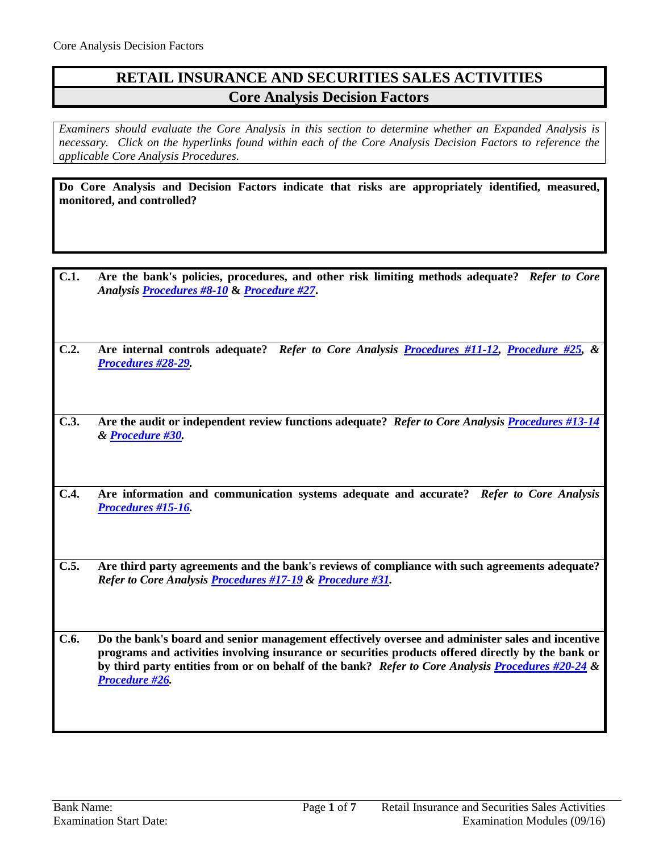## **RETAIL INSURANCE AND SECURITIES SALES ACTIVITIES Core Analysis Decision Factors**

*Examiners should evaluate the Core Analysis in this section to determine whether an Expanded Analysis is necessary. Click on the hyperlinks found within each of the Core Analysis Decision Factors to reference the applicable Core Analysis Procedures.*

**Do Core Analysis and Decision Factors indicate that risks are appropriately identified, measured, monitored, and controlled?**

- **C.1. Are the bank's policies, procedures, and other risk limiting methods adequate?** *Refer to Core Analysis [Procedures #8-10](#page-2-0)* **&** *[Procedure #27](#page-4-0)***.**
- **C.2. Are internal controls adequate?** *Refer to Core Analysis [Procedures #11-12,](#page-2-1) [Procedure #25,](#page-4-1) & [Procedures #28-29.](#page-5-0)*

**C.3. Are the audit or independent review functions adequate?** *Refer to Core Analysis [Procedures #13-14](#page-2-2) & [Procedure #30.](#page-6-0)*

- **C.4. Are information and communication systems adequate and accurate?** *Refer to Core Analysis [Procedures #15-16.](#page-3-0)*
- **C.5. Are third party agreements and the bank's reviews of compliance with such agreements adequate?**  *Refer to Core Analysis [Procedures #17-19](#page-3-1) & [Procedure #31.](#page-6-1)*

**C.6. Do the bank's board and senior management effectively oversee and administer sales and incentive programs and activities involving insurance or securities products offered directly by the bank or by third party entities from or on behalf of the bank?** *Refer to Core Analysis [Procedures #20-24](#page-4-2) & [Procedure #26.](#page-4-3)*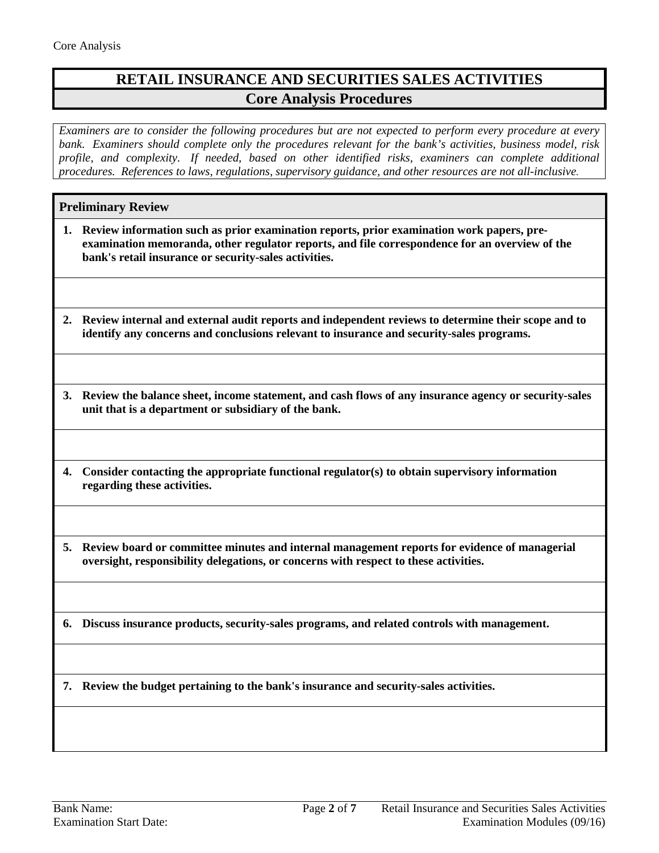# **RETAIL INSURANCE AND SECURITIES SALES ACTIVITIES Core Analysis Procedures**

*Examiners are to consider the following procedures but are not expected to perform every procedure at every bank. Examiners should complete only the procedures relevant for the bank's activities, business model, risk profile, and complexity. If needed, based on other identified risks, examiners can complete additional procedures. References to laws, regulations, supervisory guidance, and other resources are not all-inclusive.*

## **Preliminary Review**

- **1. Review information such as prior examination reports, prior examination work papers, preexamination memoranda, other regulator reports, and file correspondence for an overview of the bank's retail insurance or security-sales activities.**
- **2. Review internal and external audit reports and independent reviews to determine their scope and to identify any concerns and conclusions relevant to insurance and security-sales programs.**
- **3. Review the balance sheet, income statement, and cash flows of any insurance agency or security-sales unit that is a department or subsidiary of the bank.**
- **4. Consider contacting the appropriate functional regulator(s) to obtain supervisory information regarding these activities.**
- **5. Review board or committee minutes and internal management reports for evidence of managerial oversight, responsibility delegations, or concerns with respect to these activities.**
- **6. Discuss insurance products, security-sales programs, and related controls with management.**

**7. Review the budget pertaining to the bank's insurance and security-sales activities.**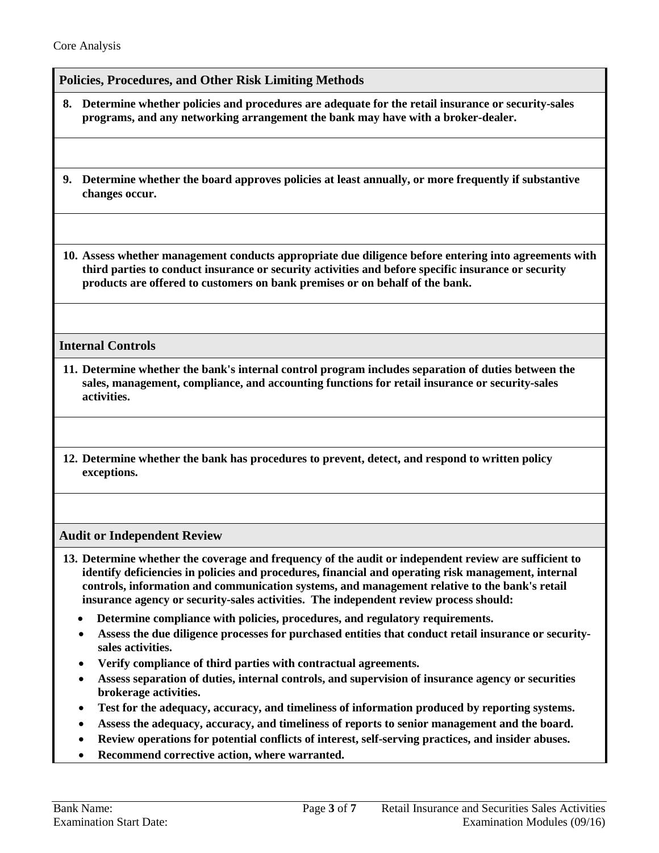### <span id="page-2-0"></span>**Policies, Procedures, and Other Risk Limiting Methods**

- **8. Determine whether policies and procedures are adequate for the retail insurance or security-sales programs, and any networking arrangement the bank may have with a broker-dealer.**
- **9. Determine whether the board approves policies at least annually, or more frequently if substantive changes occur.**

**10. Assess whether management conducts appropriate due diligence before entering into agreements with third parties to conduct insurance or security activities and before specific insurance or security products are offered to customers on bank premises or on behalf of the bank.**

### <span id="page-2-1"></span>**Internal Controls**

- **11. Determine whether the bank's internal control program includes separation of duties between the sales, management, compliance, and accounting functions for retail insurance or security-sales activities.**
- **12. Determine whether the bank has procedures to prevent, detect, and respond to written policy exceptions.**

### <span id="page-2-2"></span>**Audit or Independent Review**

- **13. Determine whether the coverage and frequency of the audit or independent review are sufficient to identify deficiencies in policies and procedures, financial and operating risk management, internal controls, information and communication systems, and management relative to the bank's retail insurance agency or security-sales activities. The independent review process should:**
	- **Determine compliance with policies, procedures, and regulatory requirements.**
	- **Assess the due diligence processes for purchased entities that conduct retail insurance or securitysales activities.**
	- **Verify compliance of third parties with contractual agreements.**
	- **Assess separation of duties, internal controls, and supervision of insurance agency or securities brokerage activities.**
	- **Test for the adequacy, accuracy, and timeliness of information produced by reporting systems.**
	- **Assess the adequacy, accuracy, and timeliness of reports to senior management and the board.**
	- **Review operations for potential conflicts of interest, self-serving practices, and insider abuses.**
	- **Recommend corrective action, where warranted.**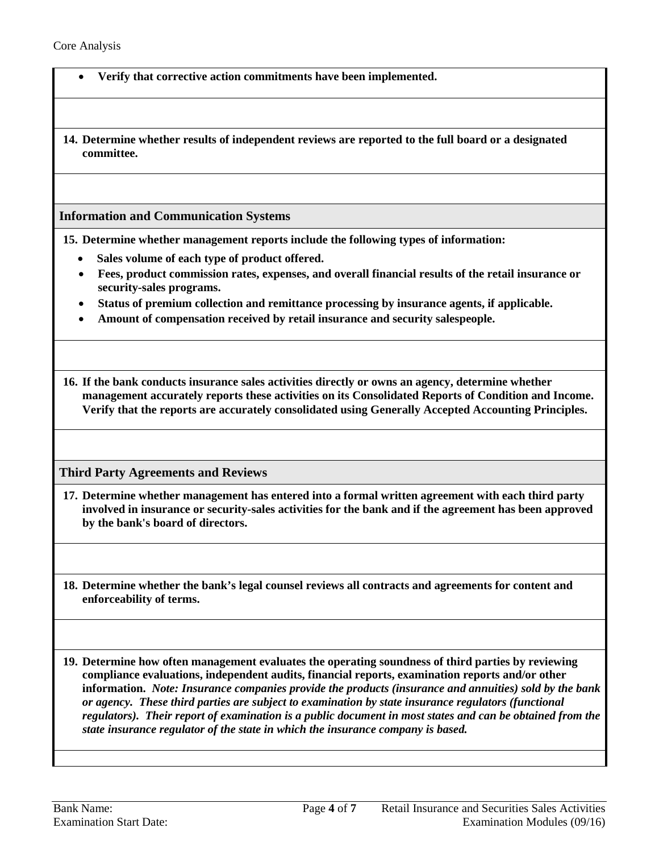- **Verify that corrective action commitments have been implemented.**
- **14. Determine whether results of independent reviews are reported to the full board or a designated committee.**

#### <span id="page-3-0"></span>**Information and Communication Systems**

**15. Determine whether management reports include the following types of information:**

- **Sales volume of each type of product offered.**
- **Fees, product commission rates, expenses, and overall financial results of the retail insurance or security-sales programs.**
- **Status of premium collection and remittance processing by insurance agents, if applicable.**
- **Amount of compensation received by retail insurance and security salespeople.**

**16. If the bank conducts insurance sales activities directly or owns an agency, determine whether management accurately reports these activities on its Consolidated Reports of Condition and Income. Verify that the reports are accurately consolidated using Generally Accepted Accounting Principles.** 

#### <span id="page-3-1"></span>**Third Party Agreements and Reviews**

- **17. Determine whether management has entered into a formal written agreement with each third party involved in insurance or security-sales activities for the bank and if the agreement has been approved by the bank's board of directors.**
- **18. Determine whether the bank's legal counsel reviews all contracts and agreements for content and enforceability of terms.**

**19. Determine how often management evaluates the operating soundness of third parties by reviewing compliance evaluations, independent audits, financial reports, examination reports and/or other information.** *Note: Insurance companies provide the products (insurance and annuities) sold by the bank or agency. These third parties are subject to examination by state insurance regulators (functional regulators). Their report of examination is a public document in most states and can be obtained from the state insurance regulator of the state in which the insurance company is based.*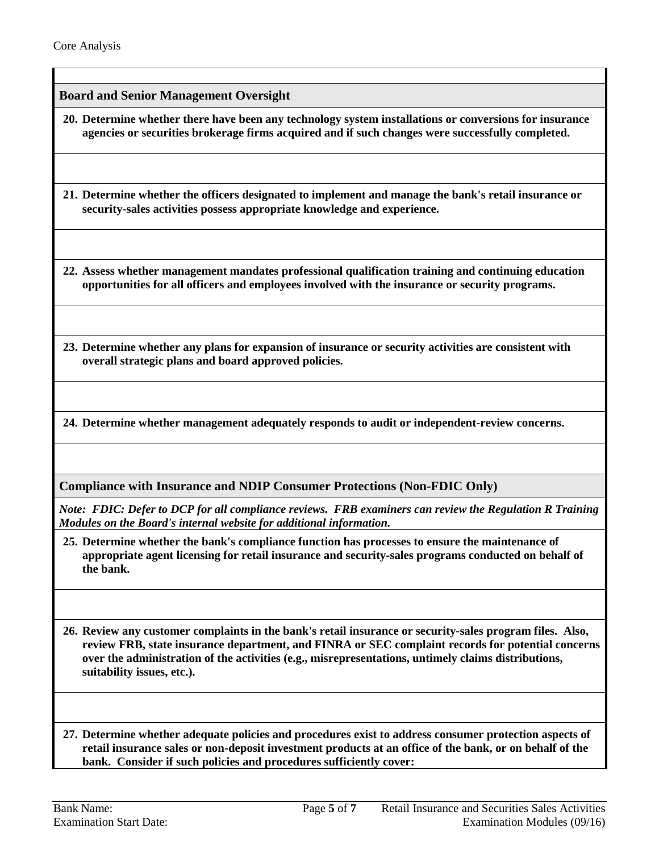<span id="page-4-2"></span>**Board and Senior Management Oversight**

**20. Determine whether there have been any technology system installations or conversions for insurance agencies or securities brokerage firms acquired and if such changes were successfully completed.**

**21. Determine whether the officers designated to implement and manage the bank's retail insurance or security-sales activities possess appropriate knowledge and experience.**

**22. Assess whether management mandates professional qualification training and continuing education opportunities for all officers and employees involved with the insurance or security programs.**

**23. Determine whether any plans for expansion of insurance or security activities are consistent with overall strategic plans and board approved policies.**

**24. Determine whether management adequately responds to audit or independent-review concerns.**

**Compliance with Insurance and NDIP Consumer Protections (Non-FDIC Only)**

*Note: FDIC: Defer to DCP for all compliance reviews. FRB examiners can review the Regulation R Training Modules on the Board's internal website for additional information.* 

<span id="page-4-1"></span>**25. Determine whether the bank's compliance function has processes to ensure the maintenance of appropriate agent licensing for retail insurance and security-sales programs conducted on behalf of the bank.** 

<span id="page-4-3"></span>**26. Review any customer complaints in the bank's retail insurance or security-sales program files. Also, review FRB, state insurance department, and FINRA or SEC complaint records for potential concerns over the administration of the activities (e.g., misrepresentations, untimely claims distributions, suitability issues, etc.).**

<span id="page-4-0"></span>**27. Determine whether adequate policies and procedures exist to address consumer protection aspects of retail insurance sales or non-deposit investment products at an office of the bank, or on behalf of the bank. Consider if such policies and procedures sufficiently cover:**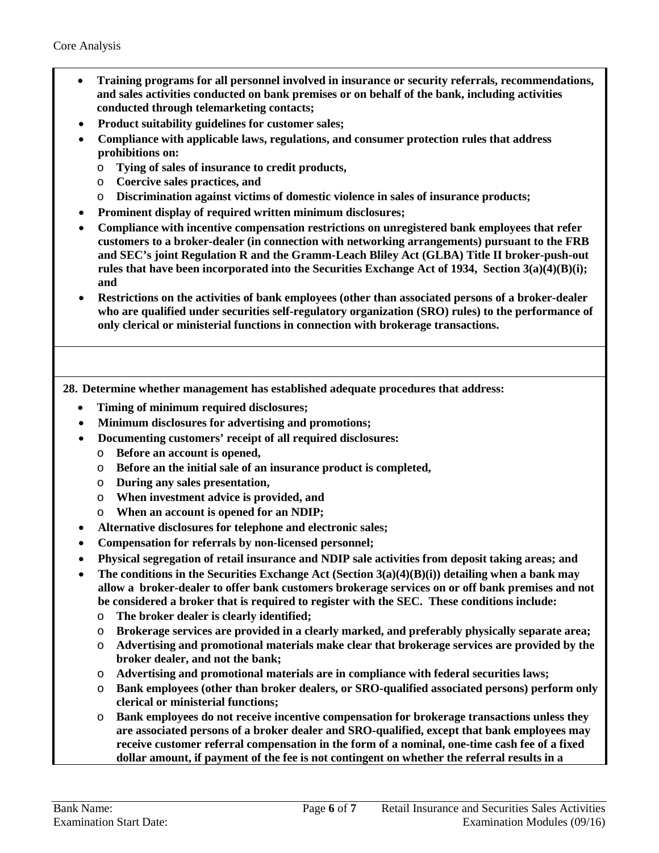- **Training programs for all personnel involved in insurance or security referrals, recommendations, and sales activities conducted on bank premises or on behalf of the bank, including activities conducted through telemarketing contacts;**
- **Product suitability guidelines for customer sales;**
- **Compliance with applicable laws, regulations, and consumer protection rules that address prohibitions on:**
	- o **Tying of sales of insurance to credit products,**
	- o **Coercive sales practices, and**
	- o **Discrimination against victims of domestic violence in sales of insurance products;**
- **Prominent display of required written minimum disclosures;**
- **Compliance with incentive compensation restrictions on unregistered bank employees that refer customers to a broker-dealer (in connection with networking arrangements) pursuant to the FRB and SEC's joint Regulation R and the Gramm-Leach Bliley Act (GLBA) Title II broker-push-out rules that have been incorporated into the Securities Exchange Act of 1934, Section 3(a)(4)(B)(i); and**
- **Restrictions on the activities of bank employees (other than associated persons of a broker-dealer who are qualified under securities self-regulatory organization (SRO) rules) to the performance of only clerical or ministerial functions in connection with brokerage transactions.**

<span id="page-5-0"></span>**28. Determine whether management has established adequate procedures that address:**

- **Timing of minimum required disclosures;**
- **Minimum disclosures for advertising and promotions;**
- **Documenting customers' receipt of all required disclosures:**
	- o **Before an account is opened,**
	- o **Before an the initial sale of an insurance product is completed,**
	- o **During any sales presentation,**
	- o **When investment advice is provided, and**
	- o **When an account is opened for an NDIP;**
- **Alternative disclosures for telephone and electronic sales;**
- **Compensation for referrals by non-licensed personnel;**
- **Physical segregation of retail insurance and NDIP sale activities from deposit taking areas; and**
- **The conditions in the Securities Exchange Act (Section 3(a)(4)(B)(i)) detailing when a bank may allow a broker-dealer to offer bank customers brokerage services on or off bank premises and not be considered a broker that is required to register with the SEC. These conditions include:**
	- o **The broker dealer is clearly identified;**
	- o **Brokerage services are provided in a clearly marked, and preferably physically separate area;**
	- o **Advertising and promotional materials make clear that brokerage services are provided by the broker dealer, and not the bank;**
	- o **Advertising and promotional materials are in compliance with federal securities laws;**
	- o **Bank employees (other than broker dealers, or SRO-qualified associated persons) perform only clerical or ministerial functions;**
	- o **Bank employees do not receive incentive compensation for brokerage transactions unless they are associated persons of a broker dealer and SRO-qualified, except that bank employees may receive customer referral compensation in the form of a nominal, one-time cash fee of a fixed dollar amount, if payment of the fee is not contingent on whether the referral results in a**